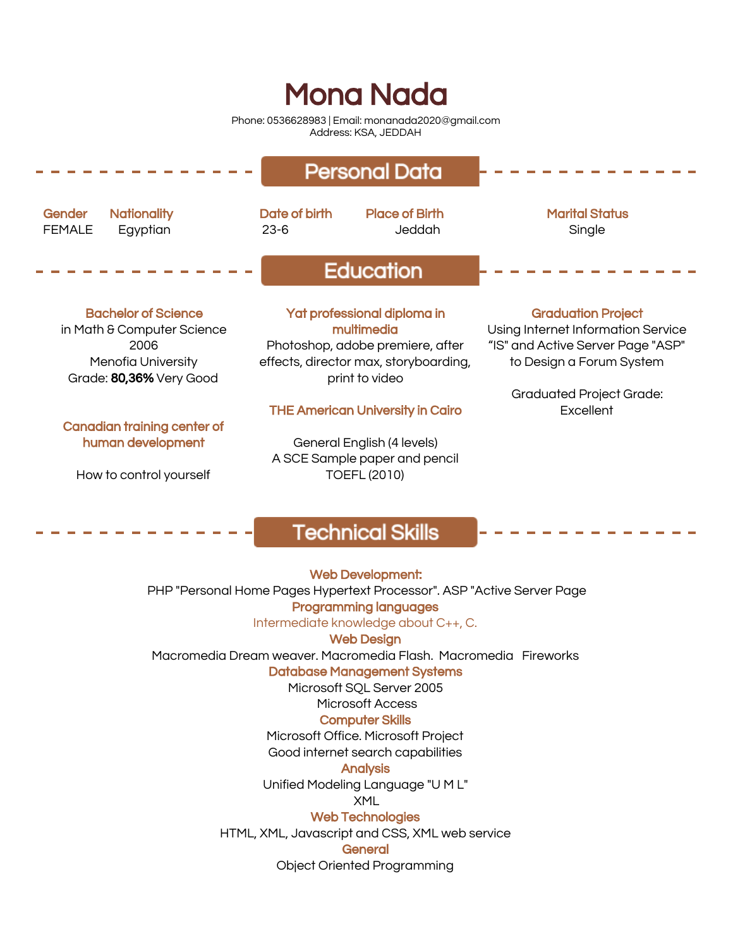# Mona Nada

Phone: 0536628983 | Email: monanada2020@gmail.com Address: KSA, JEDDAH

|                                                                                                                   | <b>Personal Data</b>                                                                                                                     |                                                                                                                                                                     |
|-------------------------------------------------------------------------------------------------------------------|------------------------------------------------------------------------------------------------------------------------------------------|---------------------------------------------------------------------------------------------------------------------------------------------------------------------|
| Gender<br><b>Nationality</b><br><b>FEMALE</b><br>Egyptian                                                         | Date of birth<br><b>Place of Birth</b><br>Jeddah<br>$23-6$                                                                               | <b>Marital Status</b><br>Single                                                                                                                                     |
|                                                                                                                   | <b>Education</b>                                                                                                                         |                                                                                                                                                                     |
| <b>Bachelor of Science</b><br>in Math & Computer Science<br>2006<br>Menofia University<br>Grade: 80,36% Very Good | Yat professional diploma in<br>multimedia<br>Photoshop, adobe premiere, after<br>effects, director max, storyboarding,<br>print to video | <b>Graduation Project</b><br>Using Internet Information Service<br>"IS" and Active Server Page "ASP"<br>to Design a Forum System<br><b>Graduated Project Grade:</b> |
| <b>Canadian training center of</b><br>human development                                                           | <b>THE American University in Cairo</b><br>General English (4 levels)<br>A SCE Sample paper and pencil<br><b>TOEFL (2010)</b>            | Excellent                                                                                                                                                           |
| How to control yourself                                                                                           |                                                                                                                                          |                                                                                                                                                                     |

## Technical Skills

Web Development: PHP "Personal Home Pages Hypertext Processor". ASP "Active Server Page Programming languages Intermediate knowledge about C++, C. Web Design Macromedia Dream weaver. Macromedia Flash. Macromedia Fireworks Database Management Systems Microsoft SQL Server 2005 Microsoft Access Computer Skills Microsoft Office. Microsoft Project Good internet search capabilities **Analysis** Unified Modeling Language "U M L" XML Web Technologies HTML, XML, Javascript and CSS, XML web service **General** Object Oriented Programming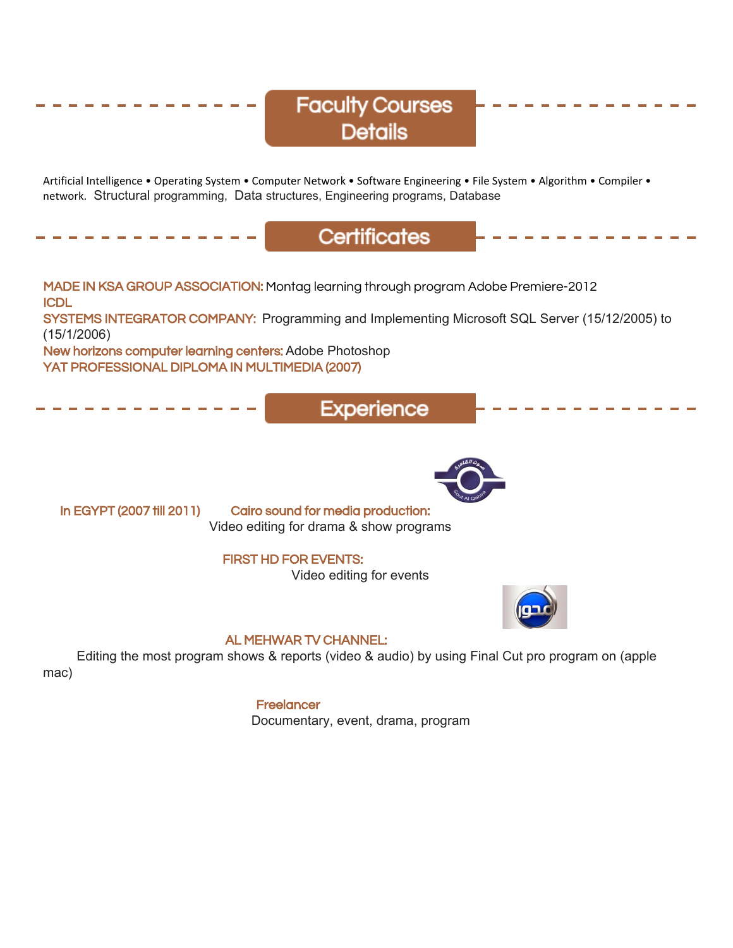# **Faculty Courses Details**

Artificial Intelligence • Operating System • Computer Network • Software Engineering • File System • Algorithm • Compiler • network. Structural programming, Data structures, Engineering programs, Database

## **Certificates**

MADE IN KSA GROUP ASSOCIATION: Montag learning through program Adobe Premiere-2012 **ICDL** 

SYSTEMS INTEGRATOR COMPANY: Programming and Implementing Microsoft SQL Server (15/12/2005) to (15/1/2006)

New horizons computer learning centers: Adobe Photoshop

YAT PROFESSIONAL DIPLOMA IN MULTIMEDIA (2007)

Experience

 In EGYPT (2007 till 2011) Cairo sound for media production: Video editing for drama & show programs

#### FIRST HD FOR EVENTS:

Video editing for events



### AL MEHWAR TV CHANNEL:

Editing the most program shows & reports (video & audio) by using Final Cut pro program on (apple mac)

> **Freelancer** Documentary, event, drama, program